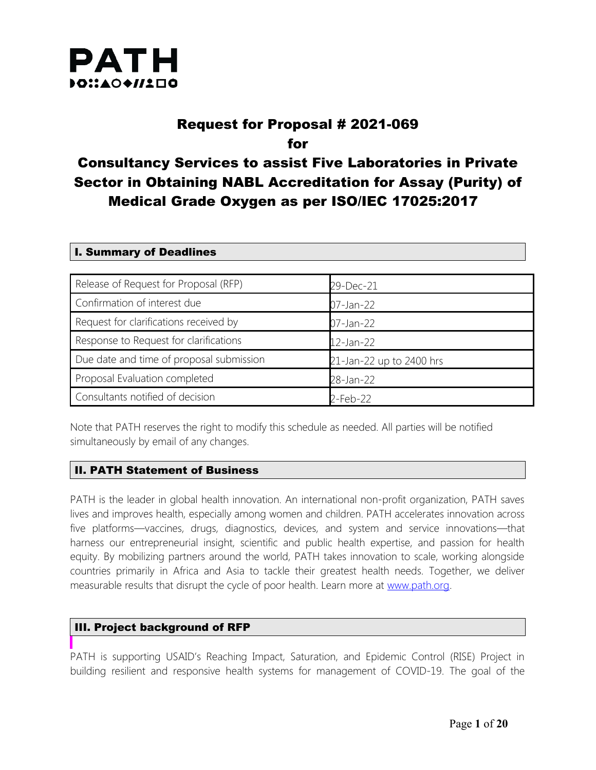

## Request for Proposal # 2021-069 for

## Consultancy Services to assist Five Laboratories in Private Sector in Obtaining NABL Accreditation for Assay (Purity) of Medical Grade Oxygen as per ISO/IEC 17025:2017

| <b>I. Summary of Deadlines</b>           |                          |  |  |  |
|------------------------------------------|--------------------------|--|--|--|
|                                          |                          |  |  |  |
| Release of Request for Proposal (RFP)    | 29-Dec-21                |  |  |  |
| Confirmation of interest due             | 07-Jan-22                |  |  |  |
| Request for clarifications received by   | 07-Jan-22                |  |  |  |
| Response to Request for clarifications   | 12-Jan-22                |  |  |  |
| Due date and time of proposal submission | 21-Jan-22 up to 2400 hrs |  |  |  |
| Proposal Evaluation completed            | 28-Jan-22                |  |  |  |

Note that PATH reserves the right to modify this schedule as needed. All parties will be notified simultaneously by email of any changes.

Consultants notified of decision 2-Feb-22

#### II. PATH Statement of Business

PATH is the leader in global health innovation. An international non-profit organization, PATH saves lives and improves health, especially among women and children. PATH accelerates innovation across five platforms—vaccines, drugs, diagnostics, devices, and system and service innovations—that harness our entrepreneurial insight, scientific and public health expertise, and passion for health equity. By mobilizing partners around the world, PATH takes innovation to scale, working alongside countries primarily in Africa and Asia to tackle their greatest health needs. Together, we deliver measurable results that disrupt the cycle of poor health. Learn more at [www.path.org.](http://www.path.org/)

#### III. Project background of RFP

PATH is supporting USAID's Reaching Impact, Saturation, and Epidemic Control (RISE) Project in building resilient and responsive health systems for management of COVID-19. The goal of the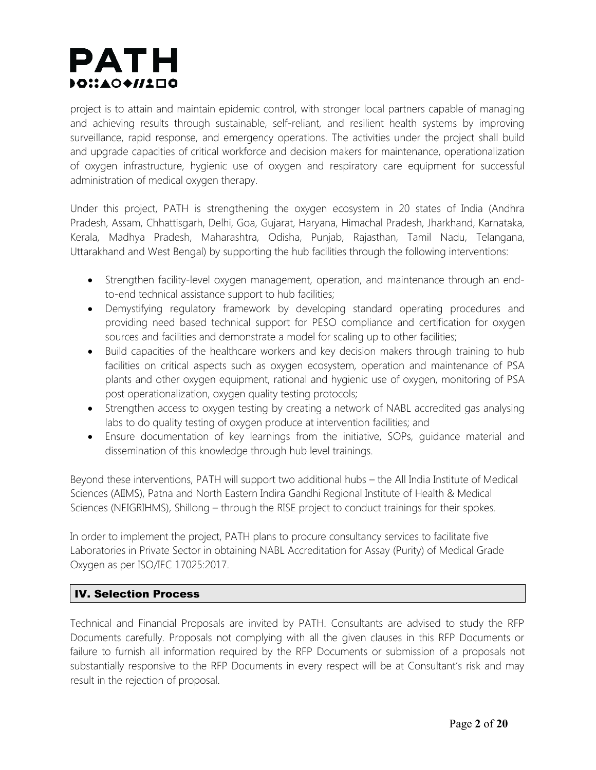## PATH DO∷AO◆//1口O

project is to attain and maintain epidemic control, with stronger local partners capable of managing and achieving results through sustainable, self-reliant, and resilient health systems by improving surveillance, rapid response, and emergency operations. The activities under the project shall build and upgrade capacities of critical workforce and decision makers for maintenance, operationalization of oxygen infrastructure, hygienic use of oxygen and respiratory care equipment for successful administration of medical oxygen therapy.

Under this project, PATH is strengthening the oxygen ecosystem in 20 states of India (Andhra Pradesh, Assam, Chhattisgarh, Delhi, Goa, Gujarat, Haryana, Himachal Pradesh, Jharkhand, Karnataka, Kerala, Madhya Pradesh, Maharashtra, Odisha, Punjab, Rajasthan, Tamil Nadu, Telangana, Uttarakhand and West Bengal) by supporting the hub facilities through the following interventions:

- Strengthen facility-level oxygen management, operation, and maintenance through an endto-end technical assistance support to hub facilities;
- Demystifying regulatory framework by developing standard operating procedures and providing need based technical support for PESO compliance and certification for oxygen sources and facilities and demonstrate a model for scaling up to other facilities;
- Build capacities of the healthcare workers and key decision makers through training to hub facilities on critical aspects such as oxygen ecosystem, operation and maintenance of PSA plants and other oxygen equipment, rational and hygienic use of oxygen, monitoring of PSA post operationalization, oxygen quality testing protocols;
- Strengthen access to oxygen testing by creating a network of NABL accredited gas analysing labs to do quality testing of oxygen produce at intervention facilities; and
- Ensure documentation of key learnings from the initiative, SOPs, guidance material and dissemination of this knowledge through hub level trainings.

Beyond these interventions, PATH will support two additional hubs – the All India Institute of Medical Sciences (AIIMS), Patna and North Eastern Indira Gandhi Regional Institute of Health & Medical Sciences (NEIGRIHMS), Shillong – through the RISE project to conduct trainings for their spokes.

In order to implement the project, PATH plans to procure consultancy services to facilitate five Laboratories in Private Sector in obtaining NABL Accreditation for Assay (Purity) of Medical Grade Oxygen as per ISO/IEC 17025:2017.

#### IV. Selection Process

Technical and Financial Proposals are invited by PATH. Consultants are advised to study the RFP Documents carefully. Proposals not complying with all the given clauses in this RFP Documents or failure to furnish all information required by the RFP Documents or submission of a proposals not substantially responsive to the RFP Documents in every respect will be at Consultant's risk and may result in the rejection of proposal.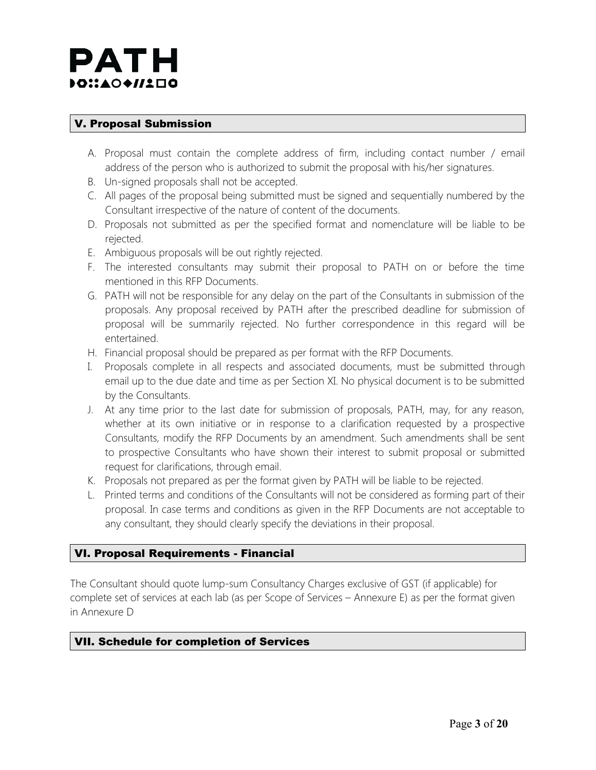#### V. Proposal Submission

- A. Proposal must contain the complete address of firm, including contact number / email address of the person who is authorized to submit the proposal with his/her signatures.
- B. Un-signed proposals shall not be accepted.
- C. All pages of the proposal being submitted must be signed and sequentially numbered by the Consultant irrespective of the nature of content of the documents.
- D. Proposals not submitted as per the specified format and nomenclature will be liable to be rejected.
- E. Ambiguous proposals will be out rightly rejected.
- F. The interested consultants may submit their proposal to PATH on or before the time mentioned in this RFP Documents.
- G. PATH will not be responsible for any delay on the part of the Consultants in submission of the proposals. Any proposal received by PATH after the prescribed deadline for submission of proposal will be summarily rejected. No further correspondence in this regard will be entertained.
- H. Financial proposal should be prepared as per format with the RFP Documents.
- I. Proposals complete in all respects and associated documents, must be submitted through email up to the due date and time as per Section XI. No physical document is to be submitted by the Consultants.
- J. At any time prior to the last date for submission of proposals, PATH, may, for any reason, whether at its own initiative or in response to a clarification requested by a prospective Consultants, modify the RFP Documents by an amendment. Such amendments shall be sent to prospective Consultants who have shown their interest to submit proposal or submitted request for clarifications, through email.
- K. Proposals not prepared as per the format given by PATH will be liable to be rejected.
- L. Printed terms and conditions of the Consultants will not be considered as forming part of their proposal. In case terms and conditions as given in the RFP Documents are not acceptable to any consultant, they should clearly specify the deviations in their proposal.

#### VI. Proposal Requirements - Financial

The Consultant should quote lump-sum Consultancy Charges exclusive of GST (if applicable) for complete set of services at each lab (as per Scope of Services – Annexure E) as per the format given in Annexure D

#### VII. Schedule for completion of Services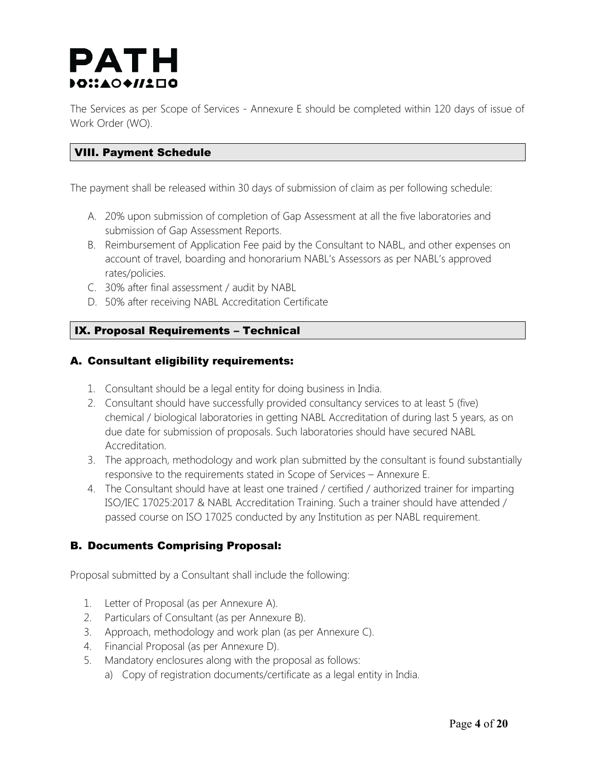The Services as per Scope of Services - Annexure E should be completed within 120 days of issue of Work Order (WO).

#### VIII. Payment Schedule

The payment shall be released within 30 days of submission of claim as per following schedule:

- A. 20% upon submission of completion of Gap Assessment at all the five laboratories and submission of Gap Assessment Reports.
- B. Reimbursement of Application Fee paid by the Consultant to NABL, and other expenses on account of travel, boarding and honorarium NABL's Assessors as per NABL's approved rates/policies.
- C. 30% after final assessment / audit by NABL
- D. 50% after receiving NABL Accreditation Certificate

#### IX. Proposal Requirements – Technical

#### A. Consultant eligibility requirements:

- 1. Consultant should be a legal entity for doing business in India.
- 2. Consultant should have successfully provided consultancy services to at least 5 (five) chemical / biological laboratories in getting NABL Accreditation of during last 5 years, as on due date for submission of proposals. Such laboratories should have secured NABL Accreditation.
- 3. The approach, methodology and work plan submitted by the consultant is found substantially responsive to the requirements stated in Scope of Services – Annexure E.
- 4. The Consultant should have at least one trained / certified / authorized trainer for imparting ISO/IEC 17025:2017 & NABL Accreditation Training. Such a trainer should have attended / passed course on ISO 17025 conducted by any Institution as per NABL requirement.

#### B. Documents Comprising Proposal:

Proposal submitted by a Consultant shall include the following:

- 1. Letter of Proposal (as per Annexure A).
- 2. Particulars of Consultant (as per Annexure B).
- 3. Approach, methodology and work plan (as per Annexure C).
- 4. Financial Proposal (as per Annexure D).
- 5. Mandatory enclosures along with the proposal as follows:
	- a) Copy of registration documents/certificate as a legal entity in India.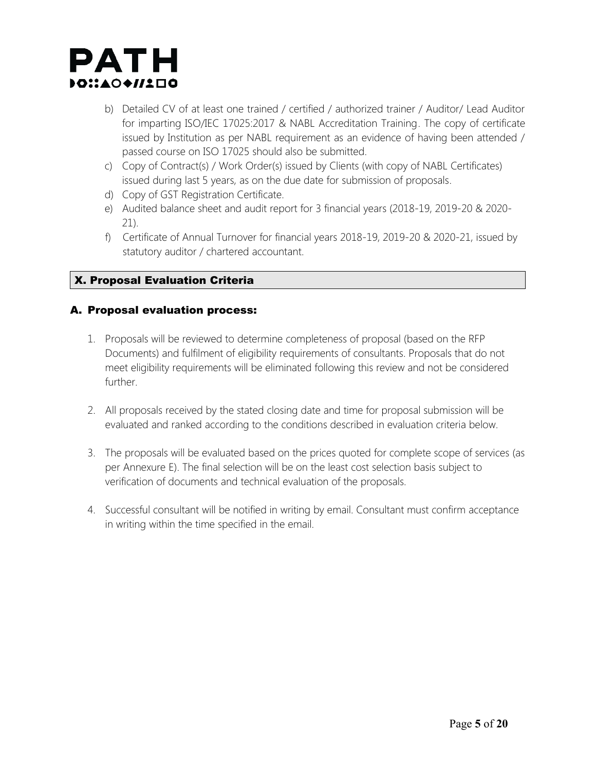

- b) Detailed CV of at least one trained / certified / authorized trainer / Auditor/ Lead Auditor for imparting ISO/IEC 17025:2017 & NABL Accreditation Training. The copy of certificate issued by Institution as per NABL requirement as an evidence of having been attended / passed course on ISO 17025 should also be submitted.
- c) Copy of Contract(s) / Work Order(s) issued by Clients (with copy of NABL Certificates) issued during last 5 years, as on the due date for submission of proposals.
- d) Copy of GST Registration Certificate.
- e) Audited balance sheet and audit report for 3 financial years (2018-19, 2019-20 & 2020- 21).
- f) Certificate of Annual Turnover for financial years 2018-19, 2019-20 & 2020-21, issued by statutory auditor / chartered accountant.

#### X. Proposal Evaluation Criteria

#### A. Proposal evaluation process:

- 1. Proposals will be reviewed to determine completeness of proposal (based on the RFP Documents) and fulfilment of eligibility requirements of consultants. Proposals that do not meet eligibility requirements will be eliminated following this review and not be considered further.
- 2. All proposals received by the stated closing date and time for proposal submission will be evaluated and ranked according to the conditions described in evaluation criteria below.
- 3. The proposals will be evaluated based on the prices quoted for complete scope of services (as per Annexure E). The final selection will be on the least cost selection basis subject to verification of documents and technical evaluation of the proposals.
- 4. Successful consultant will be notified in writing by email. Consultant must confirm acceptance in writing within the time specified in the email.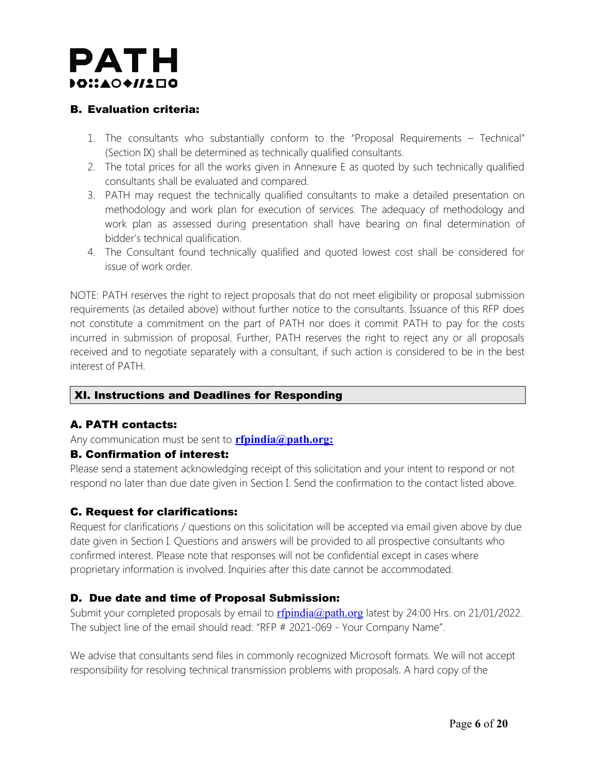## PATH DO∷AO◆//1口O

#### B. Evaluation criteria:

- 1. The consultants who substantially conform to the "Proposal Requirements Technical" (Section IX) shall be determined as technically qualified consultants.
- 2. The total prices for all the works given in Annexure E as quoted by such technically qualified consultants shall be evaluated and compared.
- 3. PATH may request the technically qualified consultants to make a detailed presentation on methodology and work plan for execution of services. The adequacy of methodology and work plan as assessed during presentation shall have bearing on final determination of bidder's technical qualification.
- 4. The Consultant found technically qualified and quoted lowest cost shall be considered for issue of work order.

NOTE: PATH reserves the right to reject proposals that do not meet eligibility or proposal submission requirements (as detailed above) without further notice to the consultants. Issuance of this RFP does not constitute a commitment on the part of PATH nor does it commit PATH to pay for the costs incurred in submission of proposal. Further, PATH reserves the right to reject any or all proposals received and to negotiate separately with a consultant, if such action is considered to be in the best interest of PATH.

#### XI. Instructions and Deadlines for Responding

#### A. PATH contacts:

Any communication must be sent to **[rfpindia@path.org:](mailto:rfpindia@path.org)** 

#### B. Confirmation of interest:

Please send a statement acknowledging receipt of this solicitation and your intent to respond or not respond no later than due date given in Section I. Send the confirmation to the contact listed above.

#### C. Request for clarifications:

Request for clarifications / questions on this solicitation will be accepted via email given above by due date given in Section I. Questions and answers will be provided to all prospective consultants who confirmed interest. Please note that responses will not be confidential except in cases where proprietary information is involved. Inquiries after this date cannot be accommodated.

#### D. Due date and time of Proposal Submission:

Submit your completed proposals by email to [rfpindia@path.org](mailto:rfpindia@path.org) latest by 24:00 Hrs. on 21/01/2022. The subject line of the email should read: "RFP # 2021-069 - Your Company Name".

We advise that consultants send files in commonly recognized Microsoft formats. We will not accept responsibility for resolving technical transmission problems with proposals. A hard copy of the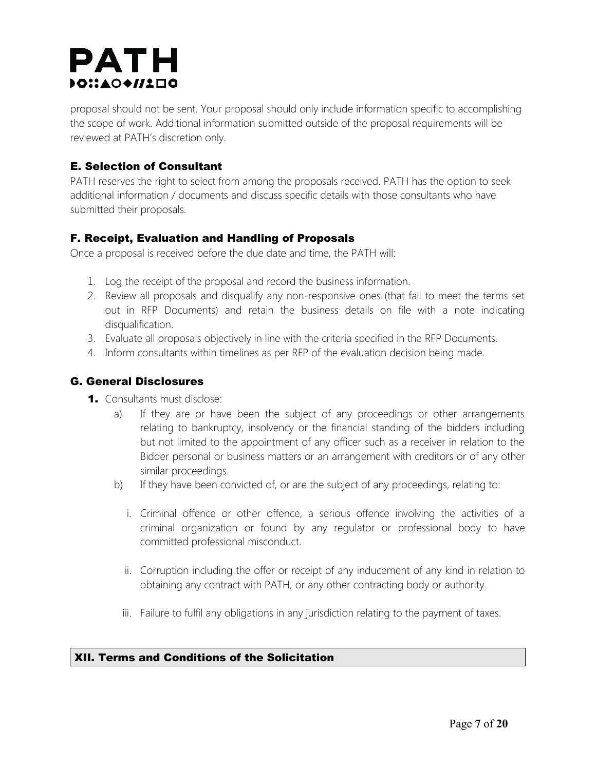proposal should not be sent. Your proposal should only include information specific to accomplishing the scope of work. Additional information submitted outside of the proposal requirements will be reviewed at PATH's discretion only.

#### E. Selection of Consultant

PATH reserves the right to select from among the proposals received. PATH has the option to seek additional information / documents and discuss specific details with those consultants who have submitted their proposals.

### F. Receipt, Evaluation and Handling of Proposals

Once a proposal is received before the due date and time, the PATH will:

- 1. Log the receipt of the proposal and record the business information.
- 2. Review all proposals and disqualify any non-responsive ones (that fail to meet the terms set out in RFP Documents) and retain the business details on file with a note indicating disqualification.
- 3. Evaluate all proposals objectively in line with the criteria specified in the RFP Documents.
- 4. Inform consultants within timelines as per RFP of the evaluation decision being made.

### G. General Disclosures

- 1. Consultants must disclose:
	- a) If they are or have been the subject of any proceedings or other arrangements relating to bankruptcy, insolvency or the financial standing of the bidders including but not limited to the appointment of any officer such as a receiver in relation to the Bidder personal or business matters or an arrangement with creditors or of any other similar proceedings.
	- b) If they have been convicted of, or are the subject of any proceedings, relating to:
		- i. Criminal offence or other offence, a serious offence involving the activities of a criminal organization or found by any regulator or professional body to have committed professional misconduct.
		- ii. Corruption including the offer or receipt of any inducement of any kind in relation to obtaining any contract with PATH, or any other contracting body or authority.
		- iii. Failure to fulfil any obligations in any jurisdiction relating to the payment of taxes.

#### XII. Terms and Conditions of the Solicitation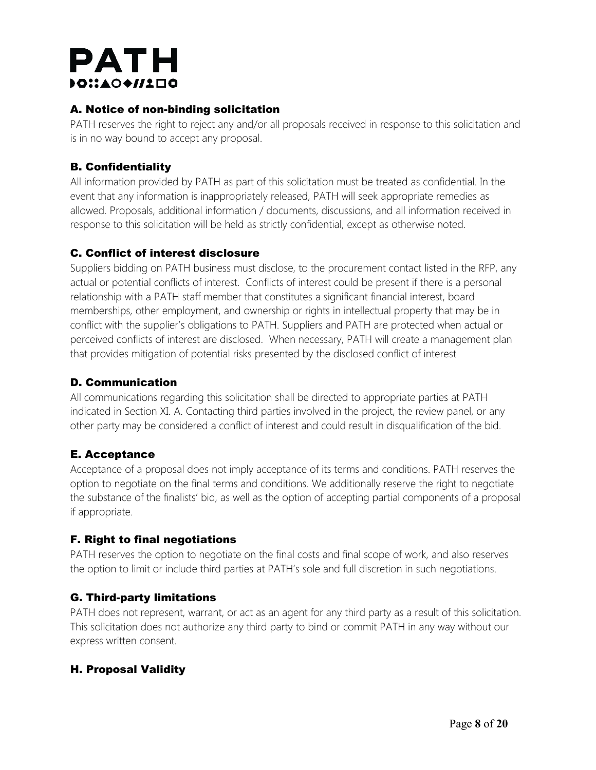#### A. Notice of non-binding solicitation

PATH reserves the right to reject any and/or all proposals received in response to this solicitation and is in no way bound to accept any proposal.

### B. Confidentiality

All information provided by PATH as part of this solicitation must be treated as confidential. In the event that any information is inappropriately released, PATH will seek appropriate remedies as allowed. Proposals, additional information / documents, discussions, and all information received in response to this solicitation will be held as strictly confidential, except as otherwise noted.

### C. Conflict of interest disclosure

Suppliers bidding on PATH business must disclose, to the procurement contact listed in the RFP, any actual or potential conflicts of interest. Conflicts of interest could be present if there is a personal relationship with a PATH staff member that constitutes a significant financial interest, board memberships, other employment, and ownership or rights in intellectual property that may be in conflict with the supplier's obligations to PATH. Suppliers and PATH are protected when actual or perceived conflicts of interest are disclosed. When necessary, PATH will create a management plan that provides mitigation of potential risks presented by the disclosed conflict of interest

## D. Communication

All communications regarding this solicitation shall be directed to appropriate parties at PATH indicated in Section XI. A. Contacting third parties involved in the project, the review panel, or any other party may be considered a conflict of interest and could result in disqualification of the bid.

## E. Acceptance

Acceptance of a proposal does not imply acceptance of its terms and conditions. PATH reserves the option to negotiate on the final terms and conditions. We additionally reserve the right to negotiate the substance of the finalists' bid, as well as the option of accepting partial components of a proposal if appropriate.

## F. Right to final negotiations

PATH reserves the option to negotiate on the final costs and final scope of work, and also reserves the option to limit or include third parties at PATH's sole and full discretion in such negotiations.

## G. Third-party limitations

PATH does not represent, warrant, or act as an agent for any third party as a result of this solicitation. This solicitation does not authorize any third party to bind or commit PATH in any way without our express written consent.

## H. Proposal Validity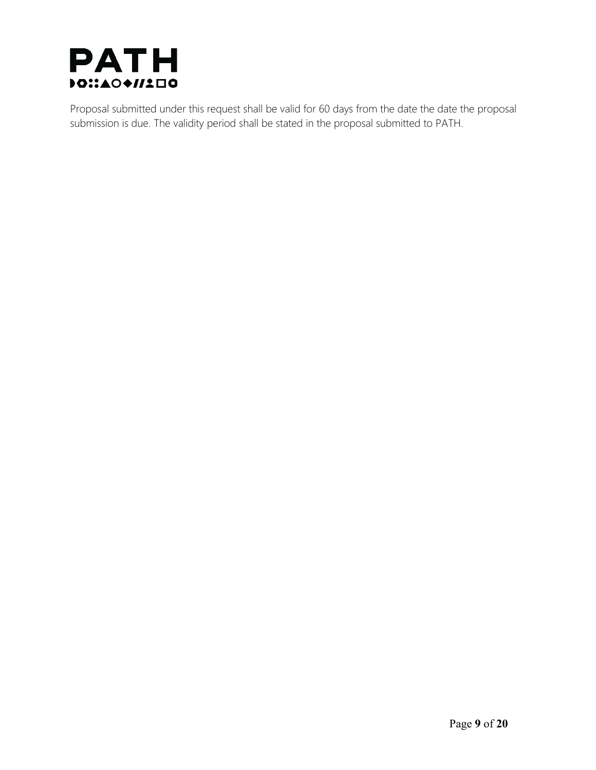

Proposal submitted under this request shall be valid for 60 days from the date the date the proposal submission is due. The validity period shall be stated in the proposal submitted to PATH.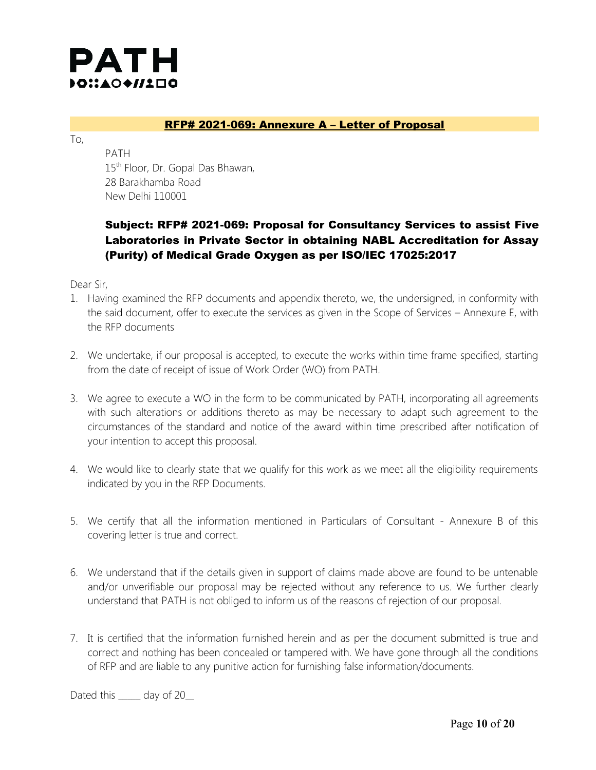

#### RFP# 2021-069: Annexure A – Letter of Proposal

To,

PATH 15<sup>th</sup> Floor, Dr. Gopal Das Bhawan, 28 Barakhamba Road New Delhi 110001

### Subject: RFP# 2021-069: Proposal for Consultancy Services to assist Five Laboratories in Private Sector in obtaining NABL Accreditation for Assay (Purity) of Medical Grade Oxygen as per ISO/IEC 17025:2017

Dear Sir,

- 1. Having examined the RFP documents and appendix thereto, we, the undersigned, in conformity with the said document, offer to execute the services as given in the Scope of Services – Annexure E, with the RFP documents
- 2. We undertake, if our proposal is accepted, to execute the works within time frame specified, starting from the date of receipt of issue of Work Order (WO) from PATH.
- 3. We agree to execute a WO in the form to be communicated by PATH, incorporating all agreements with such alterations or additions thereto as may be necessary to adapt such agreement to the circumstances of the standard and notice of the award within time prescribed after notification of your intention to accept this proposal.
- 4. We would like to clearly state that we qualify for this work as we meet all the eligibility requirements indicated by you in the RFP Documents.
- 5. We certify that all the information mentioned in Particulars of Consultant Annexure B of this covering letter is true and correct.
- 6. We understand that if the details given in support of claims made above are found to be untenable and/or unverifiable our proposal may be rejected without any reference to us. We further clearly understand that PATH is not obliged to inform us of the reasons of rejection of our proposal.
- 7. It is certified that the information furnished herein and as per the document submitted is true and correct and nothing has been concealed or tampered with. We have gone through all the conditions of RFP and are liable to any punitive action for furnishing false information/documents.

Dated this day of 20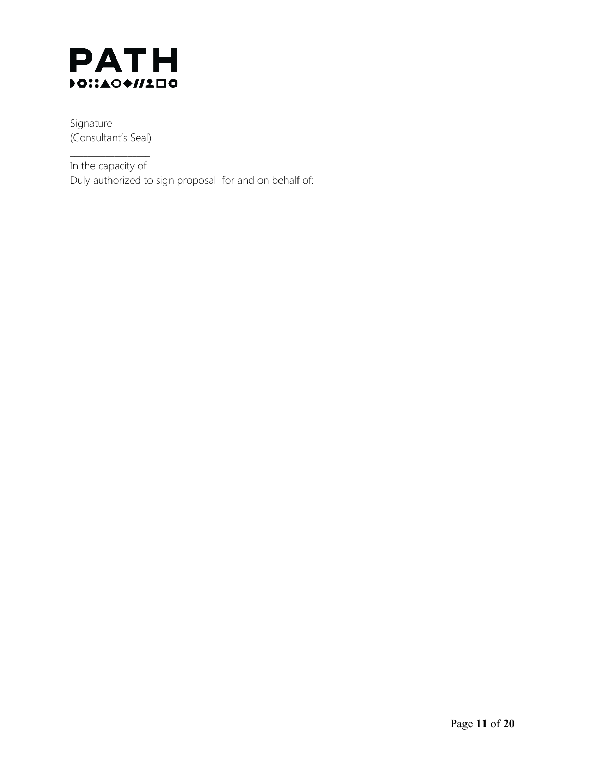

Signature (Consultant's Seal)

\_\_\_\_\_\_\_\_\_\_\_\_\_\_\_\_\_\_

In the capacity of Duly authorized to sign proposal for and on behalf of: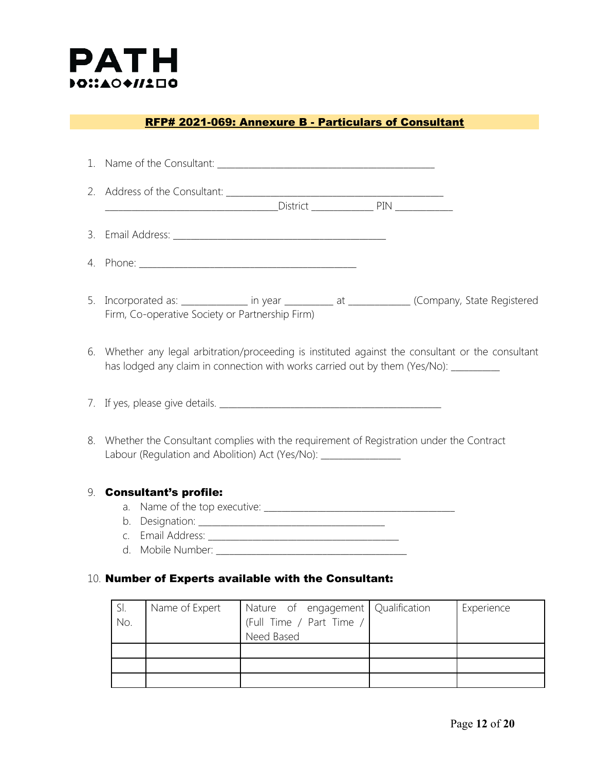

#### RFP# 2021-069: Annexure B - Particulars of Consultant

|    | 5. Incorporated as: _______________ in year ___________ at _____________ (Company, State Registered<br>Firm, Co-operative Society or Partnership Firm)                                      |
|----|---------------------------------------------------------------------------------------------------------------------------------------------------------------------------------------------|
|    | 6. Whether any legal arbitration/proceeding is instituted against the consultant or the consultant<br>has lodged any claim in connection with works carried out by them (Yes/No): _________ |
|    |                                                                                                                                                                                             |
|    | 8. Whether the Consultant complies with the requirement of Registration under the Contract<br>Labour (Regulation and Abolition) Act (Yes/No): __________________                            |
| 9. | <b>Consultant's profile:</b><br>a.                                                                                                                                                          |

#### 10. Number of Experts available with the Consultant:

| No. | Name of Expert | Nature of engagement Qualification<br>' (Full Time / Part Time / | Experience |
|-----|----------------|------------------------------------------------------------------|------------|
|     |                | Need Based                                                       |            |
|     |                |                                                                  |            |
|     |                |                                                                  |            |
|     |                |                                                                  |            |
|     |                |                                                                  |            |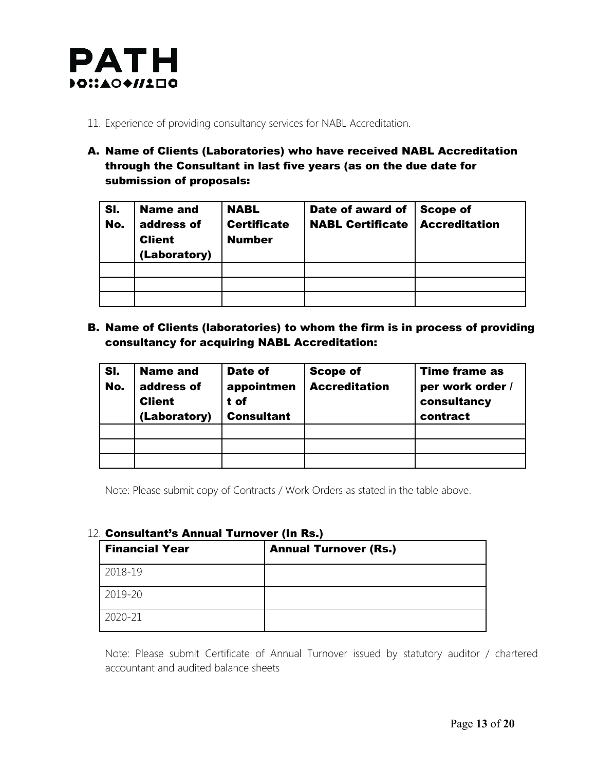

- 11. Experience of providing consultancy services for NABL Accreditation.
- A. Name of Clients (Laboratories) who have received NABL Accreditation through the Consultant in last five years (as on the due date for submission of proposals:

| SI.<br>No. | <b>Name and</b><br>address of<br><b>Client</b><br>(Laboratory) | <b>NABL</b><br><b>Certificate</b><br><b>Number</b> | Date of award of<br><b>NABL Certificate</b> | <b>Scope of</b><br><b>Accreditation</b> |
|------------|----------------------------------------------------------------|----------------------------------------------------|---------------------------------------------|-----------------------------------------|
|            |                                                                |                                                    |                                             |                                         |
|            |                                                                |                                                    |                                             |                                         |
|            |                                                                |                                                    |                                             |                                         |

B. Name of Clients (laboratories) to whom the firm is in process of providing consultancy for acquiring NABL Accreditation:

| SI.<br>No. | <b>Name and</b><br>address of<br><b>Client</b><br>(Laboratory) | Date of<br>appointmen<br>t of<br><b>Consultant</b> | <b>Scope of</b><br><b>Accreditation</b> | <b>Time frame as</b><br>per work order /<br>consultancy<br>contract |
|------------|----------------------------------------------------------------|----------------------------------------------------|-----------------------------------------|---------------------------------------------------------------------|
|            |                                                                |                                                    |                                         |                                                                     |
|            |                                                                |                                                    |                                         |                                                                     |
|            |                                                                |                                                    |                                         |                                                                     |

Note: Please submit copy of Contracts / Work Orders as stated in the table above.

#### 12. Consultant's Annual Turnover (In Rs.)

| <b>Financial Year</b> | <b>Annual Turnover (Rs.)</b> |
|-----------------------|------------------------------|
| 2018-19               |                              |
| 2019-20               |                              |
| 2020-21               |                              |

Note: Please submit Certificate of Annual Turnover issued by statutory auditor / chartered accountant and audited balance sheets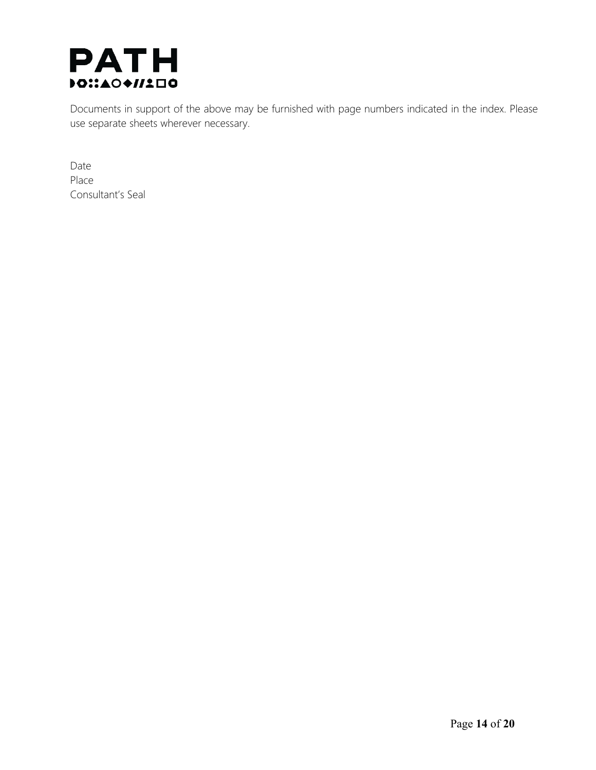

Documents in support of the above may be furnished with page numbers indicated in the index. Please use separate sheets wherever necessary.

Date Place Consultant's Seal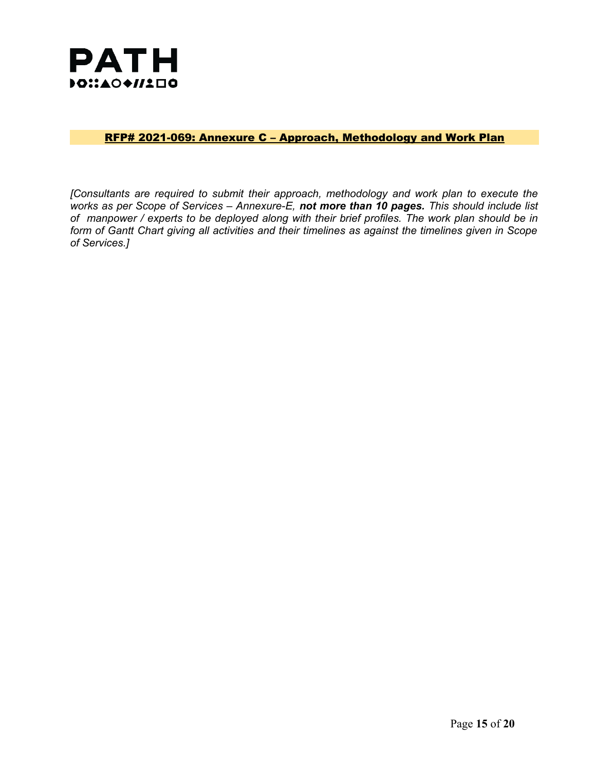

#### RFP# 2021-069: Annexure C – Approach, Methodology and Work Plan

*[Consultants are required to submit their approach, methodology and work plan to execute the works as per Scope of Services – Annexure-E, not more than 10 pages. This should include list of manpower / experts to be deployed along with their brief profiles. The work plan should be in form of Gantt Chart giving all activities and their timelines as against the timelines given in Scope of Services.]*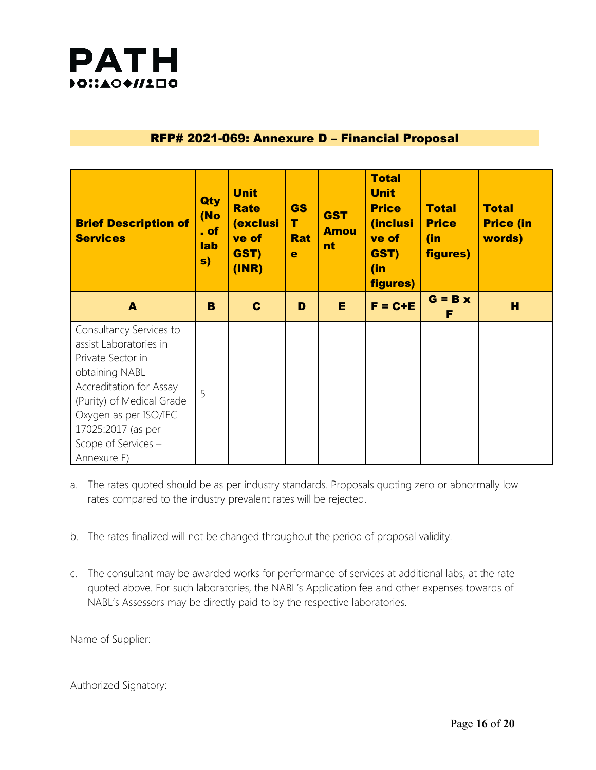

#### RFP# 2021-069: Annexure D – Financial Proposal

| <b>Brief Description of</b><br><b>Services</b>                                                                                                                                                                                        | <b>Qty</b><br>(No<br>. of<br>lab<br>s) | <b>Unit</b><br><b>Rate</b><br>(exclusi<br>ve of<br>GST)<br>(INR) | <b>GS</b><br>$\mathbf T$<br><b>Rat</b><br>e | <b>GST</b><br><b>Amou</b><br>nt | <b>Total</b><br><b>Unit</b><br><b>Price</b><br><i>(inclusi</i><br>ve of<br>GST)<br>(in<br>figures) | <b>Total</b><br><b>Price</b><br>(in<br>figures) | <b>Total</b><br><b>Price (in</b><br>words) |
|---------------------------------------------------------------------------------------------------------------------------------------------------------------------------------------------------------------------------------------|----------------------------------------|------------------------------------------------------------------|---------------------------------------------|---------------------------------|----------------------------------------------------------------------------------------------------|-------------------------------------------------|--------------------------------------------|
| A                                                                                                                                                                                                                                     | B                                      | C                                                                | D                                           | E                               | $F = C + E$                                                                                        | $G = B x$<br>F                                  | H                                          |
| Consultancy Services to<br>assist Laboratories in<br>Private Sector in<br>obtaining NABL<br>Accreditation for Assay<br>(Purity) of Medical Grade<br>Oxygen as per ISO/IEC<br>17025:2017 (as per<br>Scope of Services -<br>Annexure E) | 5                                      |                                                                  |                                             |                                 |                                                                                                    |                                                 |                                            |

- a. The rates quoted should be as per industry standards. Proposals quoting zero or abnormally low rates compared to the industry prevalent rates will be rejected.
- b. The rates finalized will not be changed throughout the period of proposal validity.
- c. The consultant may be awarded works for performance of services at additional labs, at the rate quoted above. For such laboratories, the NABL's Application fee and other expenses towards of NABL's Assessors may be directly paid to by the respective laboratories.

Name of Supplier:

Authorized Signatory: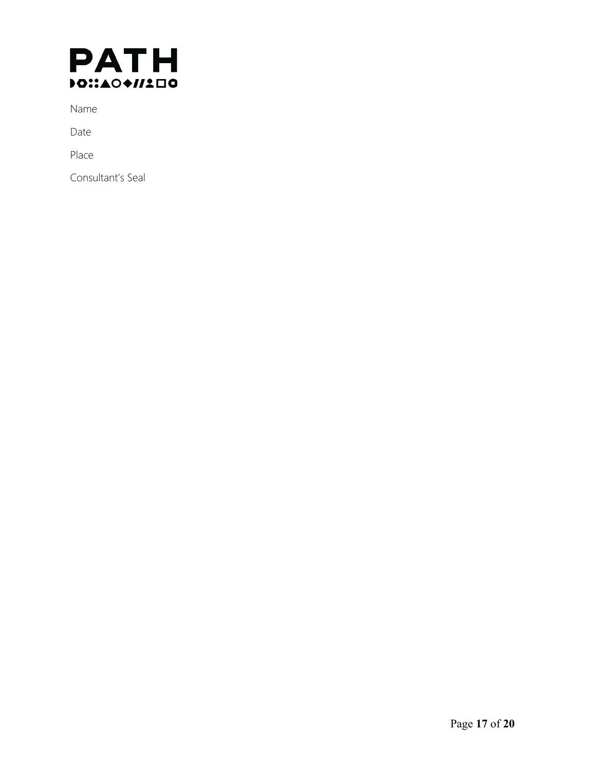

Name

Date

Place

Consultant's Seal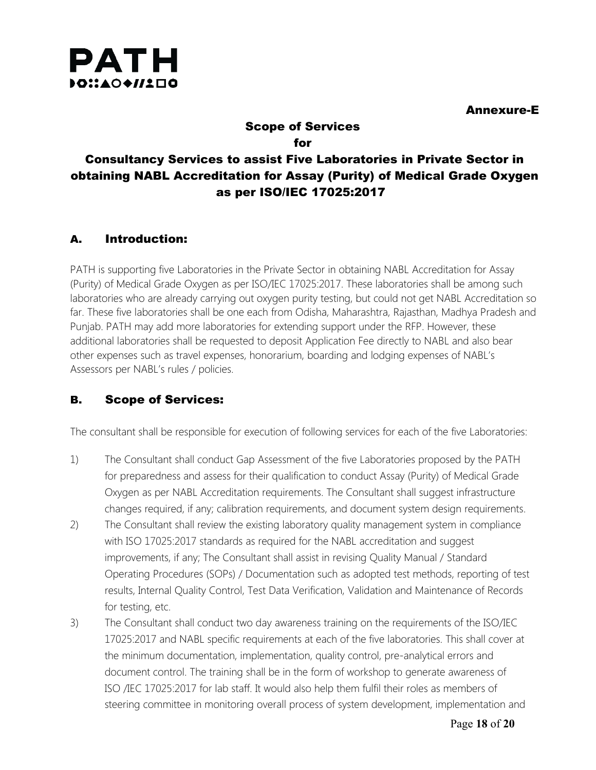

Annexure-E

## Scope of Services for

## Consultancy Services to assist Five Laboratories in Private Sector in obtaining NABL Accreditation for Assay (Purity) of Medical Grade Oxygen as per ISO/IEC 17025:2017

## A. Introduction:

PATH is supporting five Laboratories in the Private Sector in obtaining NABL Accreditation for Assay (Purity) of Medical Grade Oxygen as per ISO/IEC 17025:2017. These laboratories shall be among such laboratories who are already carrying out oxygen purity testing, but could not get NABL Accreditation so far. These five laboratories shall be one each from Odisha, Maharashtra, Rajasthan, Madhya Pradesh and Punjab. PATH may add more laboratories for extending support under the RFP. However, these additional laboratories shall be requested to deposit Application Fee directly to NABL and also bear other expenses such as travel expenses, honorarium, boarding and lodging expenses of NABL's Assessors per NABL's rules / policies.

## B. Scope of Services:

The consultant shall be responsible for execution of following services for each of the five Laboratories:

- 1) The Consultant shall conduct Gap Assessment of the five Laboratories proposed by the PATH for preparedness and assess for their qualification to conduct Assay (Purity) of Medical Grade Oxygen as per NABL Accreditation requirements. The Consultant shall suggest infrastructure changes required, if any; calibration requirements, and document system design requirements.
- 2) The Consultant shall review the existing laboratory quality management system in compliance with ISO 17025:2017 standards as required for the NABL accreditation and suggest improvements, if any; The Consultant shall assist in revising Quality Manual / Standard Operating Procedures (SOPs) / Documentation such as adopted test methods, reporting of test results, Internal Quality Control, Test Data Verification, Validation and Maintenance of Records for testing, etc.
- 3) The Consultant shall conduct two day awareness training on the requirements of the ISO/IEC 17025:2017 and NABL specific requirements at each of the five laboratories. This shall cover at the minimum documentation, implementation, quality control, pre-analytical errors and document control. The training shall be in the form of workshop to generate awareness of ISO /IEC 17025:2017 for lab staff. It would also help them fulfil their roles as members of steering committee in monitoring overall process of system development, implementation and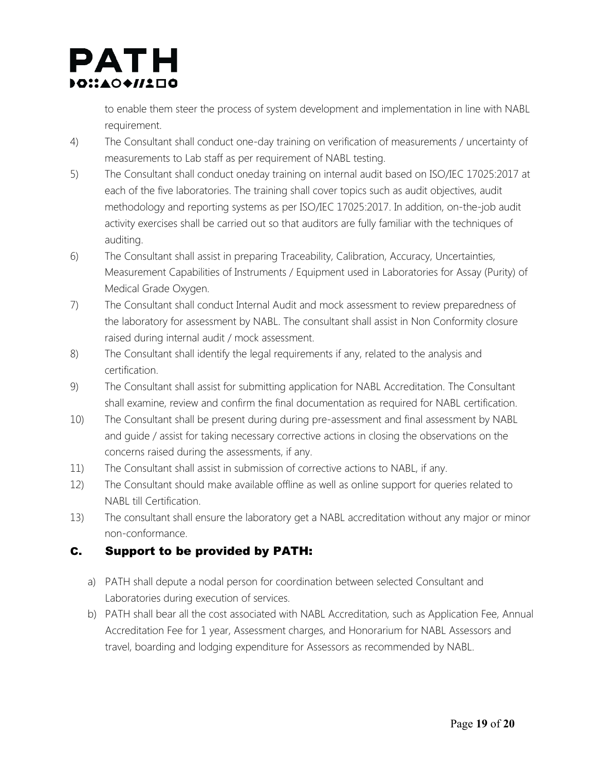

to enable them steer the process of system development and implementation in line with NABL requirement.

- 4) The Consultant shall conduct one-day training on verification of measurements / uncertainty of measurements to Lab staff as per requirement of NABL testing.
- 5) The Consultant shall conduct oneday training on internal audit based on ISO/IEC 17025:2017 at each of the five laboratories. The training shall cover topics such as audit objectives, audit methodology and reporting systems as per ISO/IEC 17025:2017. In addition, on-the-job audit activity exercises shall be carried out so that auditors are fully familiar with the techniques of auditing.
- 6) The Consultant shall assist in preparing Traceability, Calibration, Accuracy, Uncertainties, Measurement Capabilities of Instruments / Equipment used in Laboratories for Assay (Purity) of Medical Grade Oxygen.
- 7) The Consultant shall conduct Internal Audit and mock assessment to review preparedness of the laboratory for assessment by NABL. The consultant shall assist in Non Conformity closure raised during internal audit / mock assessment.
- 8) The Consultant shall identify the legal requirements if any, related to the analysis and certification.
- 9) The Consultant shall assist for submitting application for NABL Accreditation. The Consultant shall examine, review and confirm the final documentation as required for NABL certification.
- 10) The Consultant shall be present during during pre-assessment and final assessment by NABL and guide / assist for taking necessary corrective actions in closing the observations on the concerns raised during the assessments, if any.
- 11) The Consultant shall assist in submission of corrective actions to NABL, if any.
- 12) The Consultant should make available offline as well as online support for queries related to NABL till Certification.
- 13) The consultant shall ensure the laboratory get a NABL accreditation without any major or minor non-conformance.

## C. Support to be provided by PATH:

- a) PATH shall depute a nodal person for coordination between selected Consultant and Laboratories during execution of services.
- b) PATH shall bear all the cost associated with NABL Accreditation, such as Application Fee, Annual Accreditation Fee for 1 year, Assessment charges, and Honorarium for NABL Assessors and travel, boarding and lodging expenditure for Assessors as recommended by NABL.